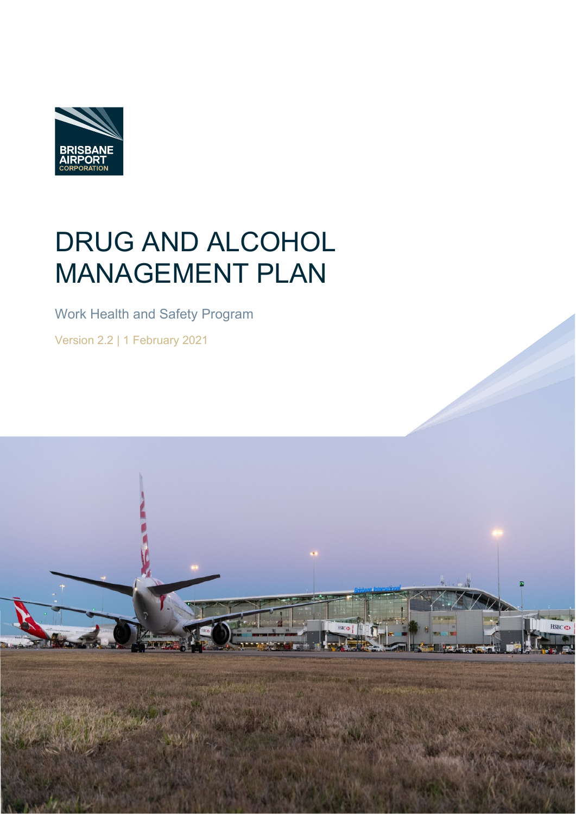

# DRUG AND ALCOHOL MANAGEMENT PLAN

Work Health and Safety Program

Version 2.2 | 1 February 2021

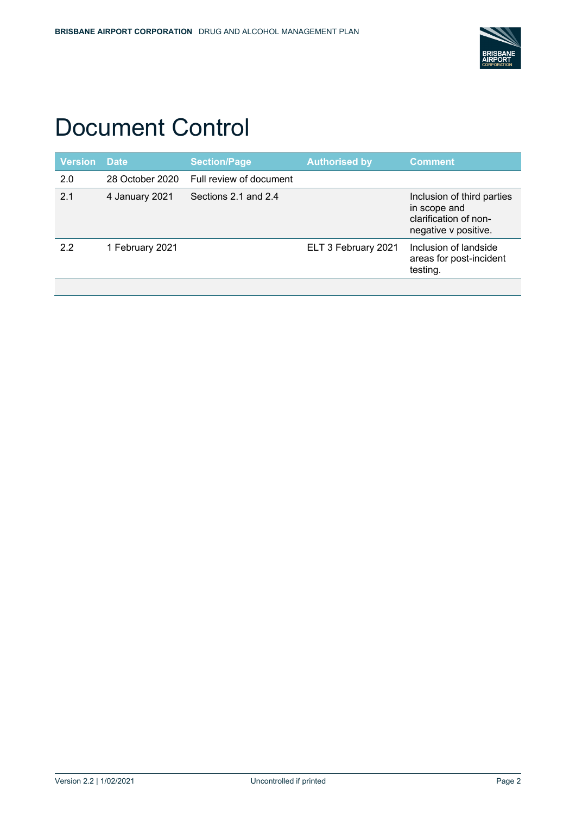

# Document Control

| <b>Version</b> | <b>Date</b>     | <b>Section/Page</b>     | <b>Authorised by</b> | <b>Comment</b>                                                                              |
|----------------|-----------------|-------------------------|----------------------|---------------------------------------------------------------------------------------------|
| 2.0            | 28 October 2020 | Full review of document |                      |                                                                                             |
| 2.1            | 4 January 2021  | Sections 2.1 and 2.4    |                      | Inclusion of third parties<br>in scope and<br>clarification of non-<br>negative v positive. |
| 2.2            | 1 February 2021 |                         | ELT 3 February 2021  | Inclusion of landside<br>areas for post-incident<br>testing.                                |
|                |                 |                         |                      |                                                                                             |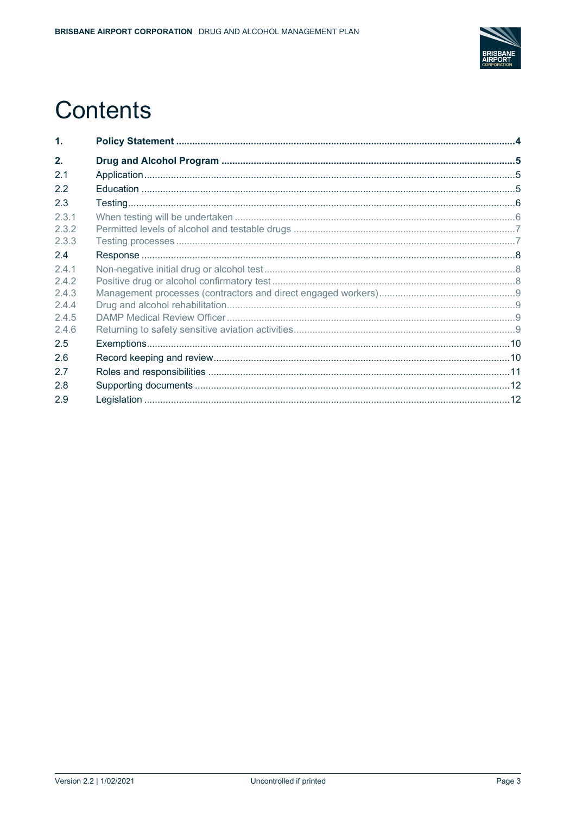

# **Contents**

| $\mathbf 1$ . |  |
|---------------|--|
| 2.            |  |
| 2.1           |  |
| 2.2           |  |
| 2.3           |  |
| 2.3.1         |  |
| 2.3.2         |  |
| 2.3.3         |  |
| 2.4           |  |
| 2.4.1         |  |
| 2.4.2         |  |
| 2.4.3         |  |
| 2.4.4         |  |
| 2.4.5         |  |
| 2.4.6         |  |
| 2.5           |  |
| 2.6           |  |
| 2.7           |  |
| 2.8           |  |
| 2.9           |  |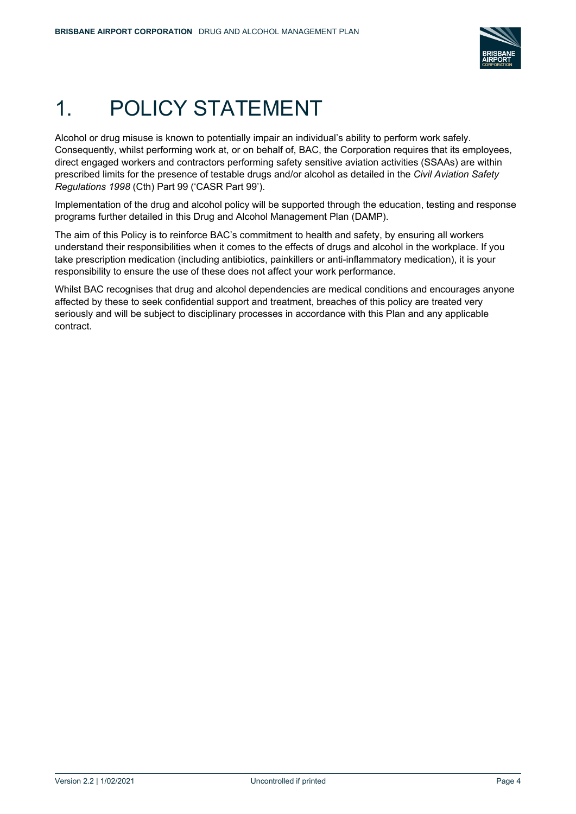

# <span id="page-3-0"></span>1. POLICY STATEMENT

Alcohol or drug misuse is known to potentially impair an individual's ability to perform work safely. Consequently, whilst performing work at, or on behalf of, BAC, the Corporation requires that its employees, direct engaged workers and contractors performing safety sensitive aviation activities (SSAAs) are within prescribed limits for the presence of testable drugs and/or alcohol as detailed in the *Civil Aviation Safety Regulations 1998* (Cth) Part 99 ('CASR Part 99').

Implementation of the drug and alcohol policy will be supported through the education, testing and response programs further detailed in this Drug and Alcohol Management Plan (DAMP).

The aim of this Policy is to reinforce BAC's commitment to health and safety, by ensuring all workers understand their responsibilities when it comes to the effects of drugs and alcohol in the workplace. If you take prescription medication (including antibiotics, painkillers or anti-inflammatory medication), it is your responsibility to ensure the use of these does not affect your work performance.

Whilst BAC recognises that drug and alcohol dependencies are medical conditions and encourages anyone affected by these to seek confidential support and treatment, breaches of this policy are treated very seriously and will be subject to disciplinary processes in accordance with this Plan and any applicable contract.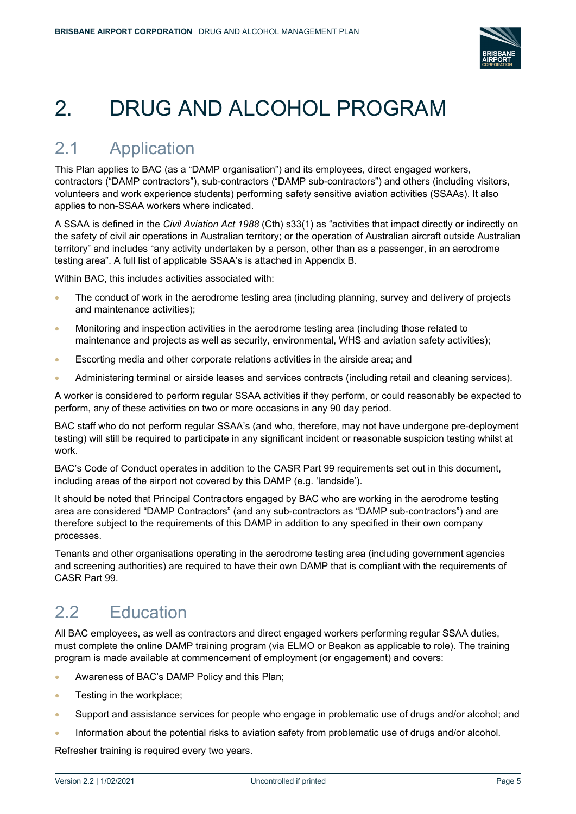

# <span id="page-4-0"></span>2. DRUG AND ALCOHOL PROGRAM

## <span id="page-4-1"></span>2.1 Application

This Plan applies to BAC (as a "DAMP organisation") and its employees, direct engaged workers, contractors ("DAMP contractors"), sub-contractors ("DAMP sub-contractors") and others (including visitors, volunteers and work experience students) performing safety sensitive aviation activities (SSAAs). It also applies to non-SSAA workers where indicated.

A SSAA is defined in the *Civil Aviation Act 1988* (Cth) s33(1) as "activities that impact directly or indirectly on the safety of civil air operations in Australian territory; or the operation of Australian aircraft outside Australian territory" and includes "any activity undertaken by a person, other than as a passenger, in an aerodrome testing area". A full list of applicable SSAA's is attached in Appendix B.

Within BAC, this includes activities associated with:

- The conduct of work in the aerodrome testing area (including planning, survey and delivery of projects and maintenance activities);
- Monitoring and inspection activities in the aerodrome testing area (including those related to maintenance and projects as well as security, environmental, WHS and aviation safety activities);
- Escorting media and other corporate relations activities in the airside area; and
- Administering terminal or airside leases and services contracts (including retail and cleaning services).

A worker is considered to perform regular SSAA activities if they perform, or could reasonably be expected to perform, any of these activities on two or more occasions in any 90 day period.

BAC staff who do not perform regular SSAA's (and who, therefore, may not have undergone pre-deployment testing) will still be required to participate in any significant incident or reasonable suspicion testing whilst at work.

BAC's Code of Conduct operates in addition to the CASR Part 99 requirements set out in this document, including areas of the airport not covered by this DAMP (e.g. 'landside').

It should be noted that Principal Contractors engaged by BAC who are working in the aerodrome testing area are considered "DAMP Contractors" (and any sub-contractors as "DAMP sub-contractors") and are therefore subject to the requirements of this DAMP in addition to any specified in their own company processes.

Tenants and other organisations operating in the aerodrome testing area (including government agencies and screening authorities) are required to have their own DAMP that is compliant with the requirements of CASR Part 99.

# <span id="page-4-2"></span>2.2 Education

All BAC employees, as well as contractors and direct engaged workers performing regular SSAA duties, must complete the online DAMP training program (via ELMO or Beakon as applicable to role). The training program is made available at commencement of employment (or engagement) and covers:

- Awareness of BAC's DAMP Policy and this Plan;
- Testing in the workplace;
- Support and assistance services for people who engage in problematic use of drugs and/or alcohol; and
- Information about the potential risks to aviation safety from problematic use of drugs and/or alcohol.

Refresher training is required every two years.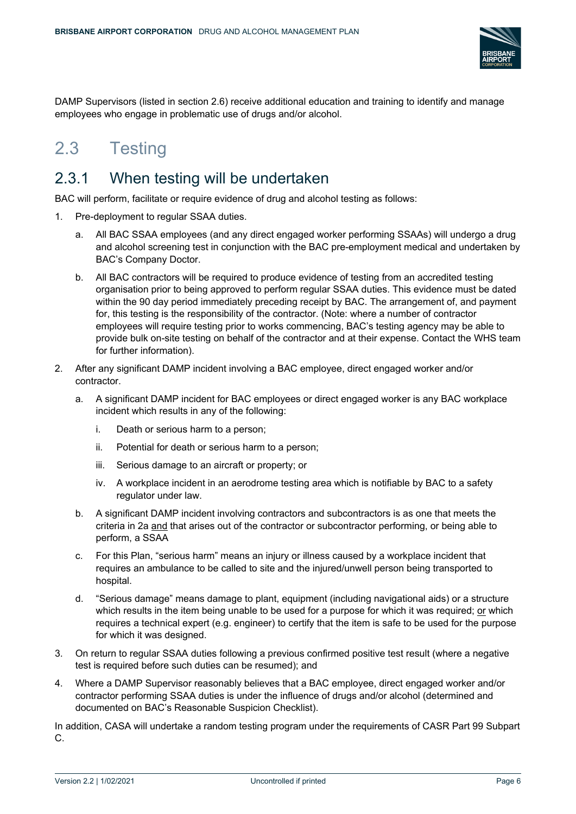

DAMP Supervisors (listed in section 2.6) receive additional education and training to identify and manage employees who engage in problematic use of drugs and/or alcohol.

## <span id="page-5-0"></span>2.3 Testing

### <span id="page-5-1"></span>2.3.1 When testing will be undertaken

BAC will perform, facilitate or require evidence of drug and alcohol testing as follows:

- 1. Pre-deployment to regular SSAA duties.
	- a. All BAC SSAA employees (and any direct engaged worker performing SSAAs) will undergo a drug and alcohol screening test in conjunction with the BAC pre-employment medical and undertaken by BAC's Company Doctor.
	- b. All BAC contractors will be required to produce evidence of testing from an accredited testing organisation prior to being approved to perform regular SSAA duties. This evidence must be dated within the 90 day period immediately preceding receipt by BAC. The arrangement of, and payment for, this testing is the responsibility of the contractor. (Note: where a number of contractor employees will require testing prior to works commencing, BAC's testing agency may be able to provide bulk on-site testing on behalf of the contractor and at their expense. Contact the WHS team for further information).
- 2. After any significant DAMP incident involving a BAC employee, direct engaged worker and/or contractor.
	- a. A significant DAMP incident for BAC employees or direct engaged worker is any BAC workplace incident which results in any of the following:
		- i. Death or serious harm to a person;
		- ii. Potential for death or serious harm to a person;
		- iii. Serious damage to an aircraft or property; or
		- iv. A workplace incident in an aerodrome testing area which is notifiable by BAC to a safety regulator under law.
	- b. A significant DAMP incident involving contractors and subcontractors is as one that meets the criteria in 2a and that arises out of the contractor or subcontractor performing, or being able to perform, a SSAA
	- c. For this Plan, "serious harm" means an injury or illness caused by a workplace incident that requires an ambulance to be called to site and the injured/unwell person being transported to hospital.
	- d. "Serious damage" means damage to plant, equipment (including navigational aids) or a structure which results in the item being unable to be used for a purpose for which it was required; or which requires a technical expert (e.g. engineer) to certify that the item is safe to be used for the purpose for which it was designed.
- 3. On return to regular SSAA duties following a previous confirmed positive test result (where a negative test is required before such duties can be resumed); and
- 4. Where a DAMP Supervisor reasonably believes that a BAC employee, direct engaged worker and/or contractor performing SSAA duties is under the influence of drugs and/or alcohol (determined and documented on BAC's Reasonable Suspicion Checklist).

In addition, CASA will undertake a random testing program under the requirements of CASR Part 99 Subpart C.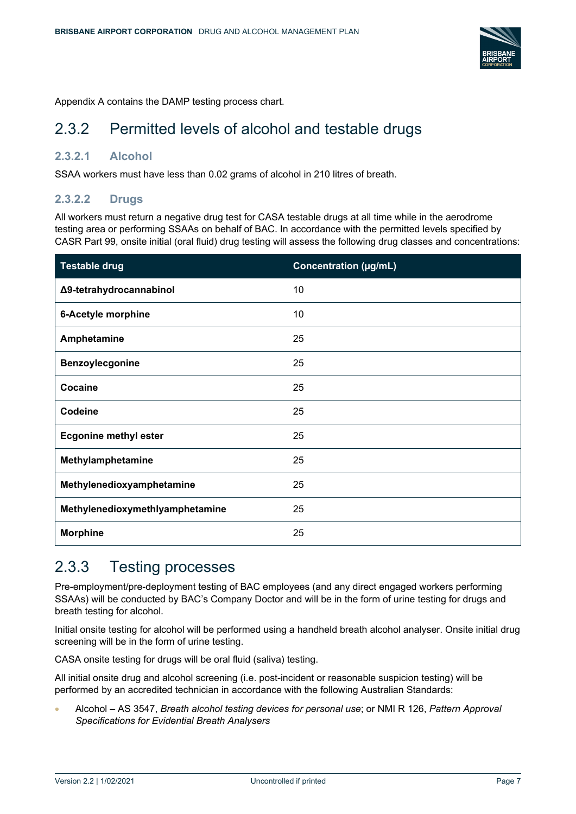

Appendix A contains the DAMP testing process chart.

### <span id="page-6-0"></span>2.3.2 Permitted levels of alcohol and testable drugs

#### **2.3.2.1 Alcohol**

SSAA workers must have less than 0.02 grams of alcohol in 210 litres of breath.

#### **2.3.2.2 Drugs**

All workers must return a negative drug test for CASA testable drugs at all time while in the aerodrome testing area or performing SSAAs on behalf of BAC. In accordance with the permitted levels specified by CASR Part 99, onsite initial (oral fluid) drug testing will assess the following drug classes and concentrations:

| <b>Testable drug</b>            | <b>Concentration (µg/mL)</b> |
|---------------------------------|------------------------------|
| Δ9-tetrahydrocannabinol         | 10                           |
| 6-Acetyle morphine              | 10                           |
| Amphetamine                     | 25                           |
| Benzoylecgonine                 | 25                           |
| Cocaine                         | 25                           |
| Codeine                         | 25                           |
| <b>Ecgonine methyl ester</b>    | 25                           |
| Methylamphetamine               | 25                           |
| Methylenedioxyamphetamine       | 25                           |
| Methylenedioxymethlyamphetamine | 25                           |
| <b>Morphine</b>                 | 25                           |

### <span id="page-6-1"></span>2.3.3 Testing processes

Pre-employment/pre-deployment testing of BAC employees (and any direct engaged workers performing SSAAs) will be conducted by BAC's Company Doctor and will be in the form of urine testing for drugs and breath testing for alcohol.

Initial onsite testing for alcohol will be performed using a handheld breath alcohol analyser. Onsite initial drug screening will be in the form of urine testing.

CASA onsite testing for drugs will be oral fluid (saliva) testing.

All initial onsite drug and alcohol screening (i.e. post-incident or reasonable suspicion testing) will be performed by an accredited technician in accordance with the following Australian Standards:

• Alcohol – AS 3547, *Breath alcohol testing devices for personal use*; or NMI R 126, *Pattern Approval Specifications for Evidential Breath Analysers*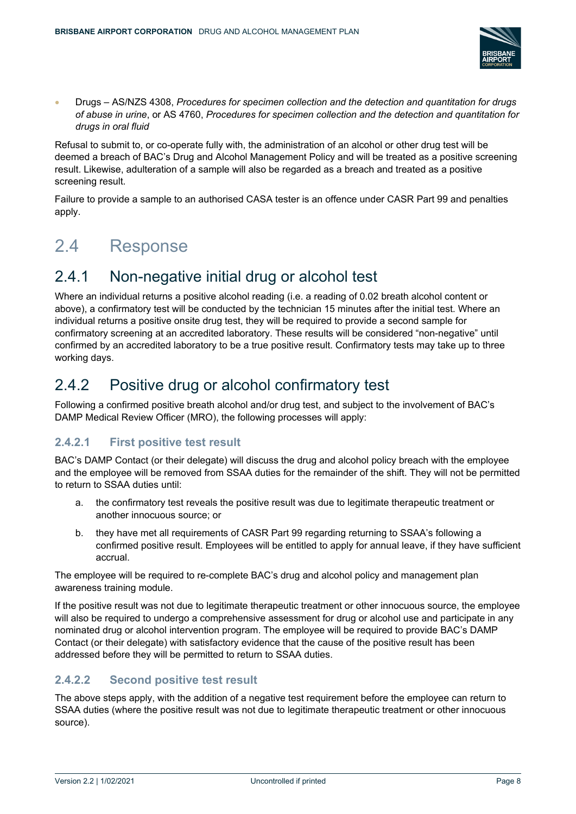

• Drugs – AS/NZS 4308, *Procedures for specimen collection and the detection and quantitation for drugs of abuse in urine*, or AS 4760, *Procedures for specimen collection and the detection and quantitation for drugs in oral fluid*

Refusal to submit to, or co-operate fully with, the administration of an alcohol or other drug test will be deemed a breach of BAC's Drug and Alcohol Management Policy and will be treated as a positive screening result. Likewise, adulteration of a sample will also be regarded as a breach and treated as a positive screening result.

Failure to provide a sample to an authorised CASA tester is an offence under CASR Part 99 and penalties apply.

## <span id="page-7-0"></span>2.4 Response

## <span id="page-7-1"></span>2.4.1 Non-negative initial drug or alcohol test

Where an individual returns a positive alcohol reading (i.e. a reading of 0.02 breath alcohol content or above), a confirmatory test will be conducted by the technician 15 minutes after the initial test. Where an individual returns a positive onsite drug test, they will be required to provide a second sample for confirmatory screening at an accredited laboratory. These results will be considered "non-negative" until confirmed by an accredited laboratory to be a true positive result. Confirmatory tests may take up to three working days.

### <span id="page-7-2"></span>2.4.2 Positive drug or alcohol confirmatory test

Following a confirmed positive breath alcohol and/or drug test, and subject to the involvement of BAC's DAMP Medical Review Officer (MRO), the following processes will apply:

#### **2.4.2.1 First positive test result**

BAC's DAMP Contact (or their delegate) will discuss the drug and alcohol policy breach with the employee and the employee will be removed from SSAA duties for the remainder of the shift. They will not be permitted to return to SSAA duties until:

- a. the confirmatory test reveals the positive result was due to legitimate therapeutic treatment or another innocuous source; or
- b. they have met all requirements of CASR Part 99 regarding returning to SSAA's following a confirmed positive result. Employees will be entitled to apply for annual leave, if they have sufficient accrual.

The employee will be required to re-complete BAC's drug and alcohol policy and management plan awareness training module.

If the positive result was not due to legitimate therapeutic treatment or other innocuous source, the employee will also be required to undergo a comprehensive assessment for drug or alcohol use and participate in any nominated drug or alcohol intervention program. The employee will be required to provide BAC's DAMP Contact (or their delegate) with satisfactory evidence that the cause of the positive result has been addressed before they will be permitted to return to SSAA duties.

#### **2.4.2.2 Second positive test result**

The above steps apply, with the addition of a negative test requirement before the employee can return to SSAA duties (where the positive result was not due to legitimate therapeutic treatment or other innocuous source).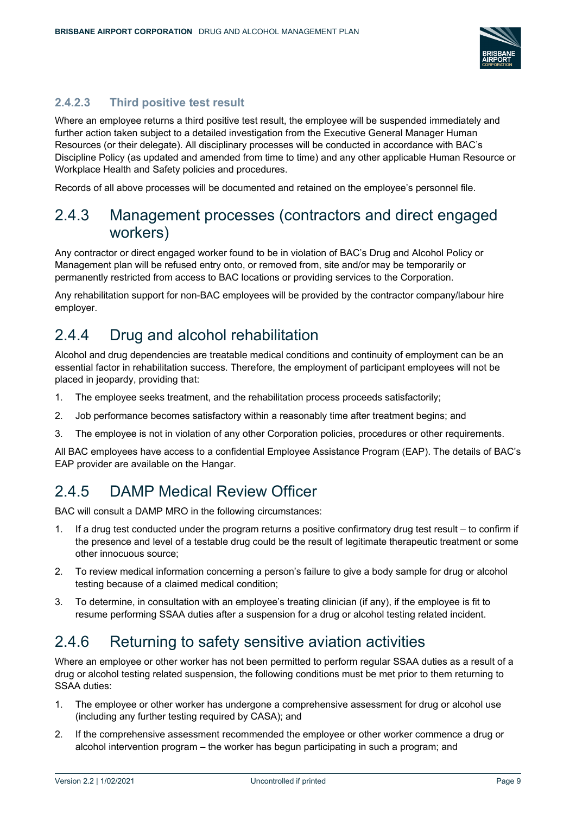

#### **2.4.2.3 Third positive test result**

Where an employee returns a third positive test result, the employee will be suspended immediately and further action taken subject to a detailed investigation from the Executive General Manager Human Resources (or their delegate). All disciplinary processes will be conducted in accordance with BAC's Discipline Policy (as updated and amended from time to time) and any other applicable Human Resource or Workplace Health and Safety policies and procedures.

Records of all above processes will be documented and retained on the employee's personnel file.

### <span id="page-8-0"></span>2.4.3 Management processes (contractors and direct engaged workers)

Any contractor or direct engaged worker found to be in violation of BAC's Drug and Alcohol Policy or Management plan will be refused entry onto, or removed from, site and/or may be temporarily or permanently restricted from access to BAC locations or providing services to the Corporation.

Any rehabilitation support for non-BAC employees will be provided by the contractor company/labour hire employer.

### <span id="page-8-1"></span>2.4.4 Drug and alcohol rehabilitation

Alcohol and drug dependencies are treatable medical conditions and continuity of employment can be an essential factor in rehabilitation success. Therefore, the employment of participant employees will not be placed in jeopardy, providing that:

- 1. The employee seeks treatment, and the rehabilitation process proceeds satisfactorily;
- 2. Job performance becomes satisfactory within a reasonably time after treatment begins; and
- 3. The employee is not in violation of any other Corporation policies, procedures or other requirements.

All BAC employees have access to a confidential Employee Assistance Program (EAP). The details of BAC's EAP provider are available on the Hangar.

### <span id="page-8-2"></span>2.4.5 DAMP Medical Review Officer

BAC will consult a DAMP MRO in the following circumstances:

- 1. If a drug test conducted under the program returns a positive confirmatory drug test result to confirm if the presence and level of a testable drug could be the result of legitimate therapeutic treatment or some other innocuous source;
- 2. To review medical information concerning a person's failure to give a body sample for drug or alcohol testing because of a claimed medical condition;
- 3. To determine, in consultation with an employee's treating clinician (if any), if the employee is fit to resume performing SSAA duties after a suspension for a drug or alcohol testing related incident.

### <span id="page-8-3"></span>2.4.6 Returning to safety sensitive aviation activities

Where an employee or other worker has not been permitted to perform regular SSAA duties as a result of a drug or alcohol testing related suspension, the following conditions must be met prior to them returning to SSAA duties:

- 1. The employee or other worker has undergone a comprehensive assessment for drug or alcohol use (including any further testing required by CASA); and
- 2. If the comprehensive assessment recommended the employee or other worker commence a drug or alcohol intervention program – the worker has begun participating in such a program; and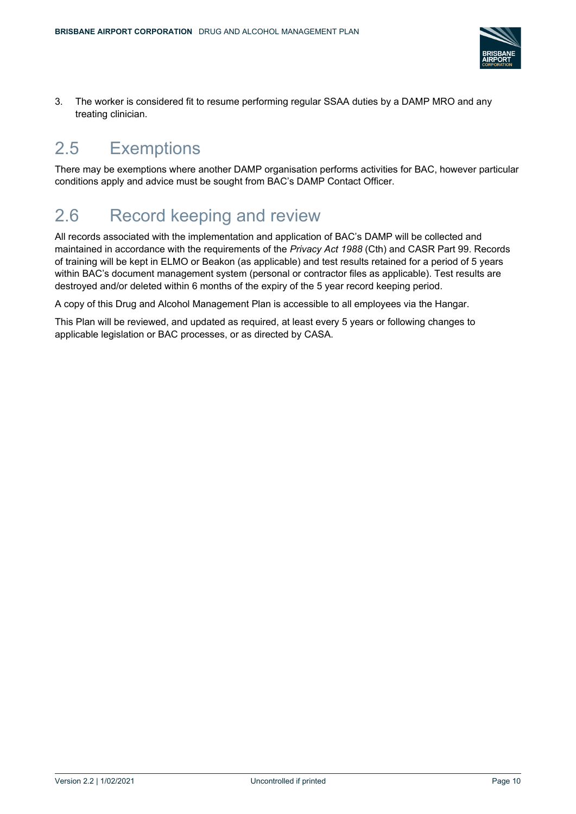

3. The worker is considered fit to resume performing regular SSAA duties by a DAMP MRO and any treating clinician.

# <span id="page-9-0"></span>2.5 Exemptions

There may be exemptions where another DAMP organisation performs activities for BAC, however particular conditions apply and advice must be sought from BAC's DAMP Contact Officer.

## <span id="page-9-1"></span>2.6 Record keeping and review

All records associated with the implementation and application of BAC's DAMP will be collected and maintained in accordance with the requirements of the *Privacy Act 1988* (Cth) and CASR Part 99. Records of training will be kept in ELMO or Beakon (as applicable) and test results retained for a period of 5 years within BAC's document management system (personal or contractor files as applicable). Test results are destroyed and/or deleted within 6 months of the expiry of the 5 year record keeping period.

A copy of this Drug and Alcohol Management Plan is accessible to all employees via the Hangar.

This Plan will be reviewed, and updated as required, at least every 5 years or following changes to applicable legislation or BAC processes, or as directed by CASA.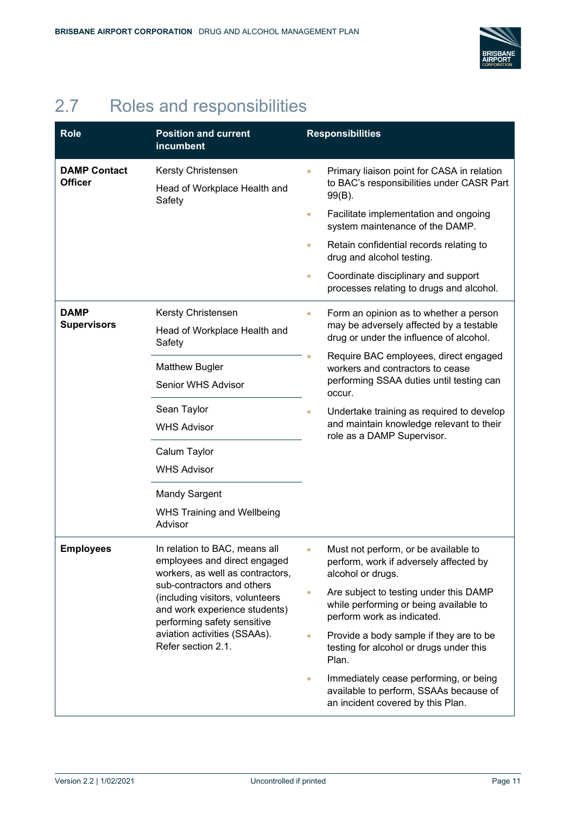

# <span id="page-10-0"></span>2.7 Roles and responsibilities

| <b>Role</b>                           | <b>Position and current</b><br>incumbent                                                                                                                                            |           | <b>Responsibilities</b>                                                                                               |
|---------------------------------------|-------------------------------------------------------------------------------------------------------------------------------------------------------------------------------------|-----------|-----------------------------------------------------------------------------------------------------------------------|
| <b>DAMP Contact</b><br><b>Officer</b> | Kersty Christensen                                                                                                                                                                  |           | Primary liaison point for CASA in relation<br>to BAC's responsibilities under CASR Part                               |
|                                       | Head of Workplace Health and<br>Safety                                                                                                                                              |           | 99(B).                                                                                                                |
|                                       |                                                                                                                                                                                     | $\bullet$ | Facilitate implementation and ongoing<br>system maintenance of the DAMP.                                              |
|                                       |                                                                                                                                                                                     | $\bullet$ | Retain confidential records relating to<br>drug and alcohol testing.                                                  |
|                                       |                                                                                                                                                                                     | $\bullet$ | Coordinate disciplinary and support<br>processes relating to drugs and alcohol.                                       |
| <b>DAMP</b>                           | Kersty Christensen                                                                                                                                                                  |           | Form an opinion as to whether a person                                                                                |
| <b>Supervisors</b>                    | Head of Workplace Health and<br>Safety                                                                                                                                              |           | may be adversely affected by a testable<br>drug or under the influence of alcohol.                                    |
|                                       | <b>Matthew Bugler</b>                                                                                                                                                               |           | Require BAC employees, direct engaged<br>workers and contractors to cease                                             |
|                                       | Senior WHS Advisor                                                                                                                                                                  |           | performing SSAA duties until testing can<br>occur.                                                                    |
|                                       | Sean Taylor                                                                                                                                                                         | $\bullet$ | Undertake training as required to develop                                                                             |
|                                       | <b>WHS Advisor</b><br>Calum Taylor<br><b>WHS Advisor</b>                                                                                                                            |           | and maintain knowledge relevant to their<br>role as a DAMP Supervisor.                                                |
|                                       |                                                                                                                                                                                     |           |                                                                                                                       |
|                                       |                                                                                                                                                                                     |           |                                                                                                                       |
|                                       | <b>Mandy Sargent</b>                                                                                                                                                                |           |                                                                                                                       |
|                                       | <b>WHS Training and Wellbeing</b><br>Advisor                                                                                                                                        |           |                                                                                                                       |
| <b>Employees</b>                      | In relation to BAC, means all<br>employees and direct engaged<br>workers, as well as contractors,                                                                                   |           | Must not perform, or be available to<br>perform, work if adversely affected by<br>alcohol or drugs.                   |
|                                       | sub-contractors and others<br>(including visitors, volunteers<br>and work experience students)<br>performing safety sensitive<br>aviation activities (SSAAs).<br>Refer section 2.1. |           | Are subject to testing under this DAMP<br>while performing or being available to<br>perform work as indicated.        |
|                                       |                                                                                                                                                                                     |           | Provide a body sample if they are to be<br>testing for alcohol or drugs under this<br>Plan.                           |
|                                       |                                                                                                                                                                                     | $\bullet$ | Immediately cease performing, or being<br>available to perform, SSAAs because of<br>an incident covered by this Plan. |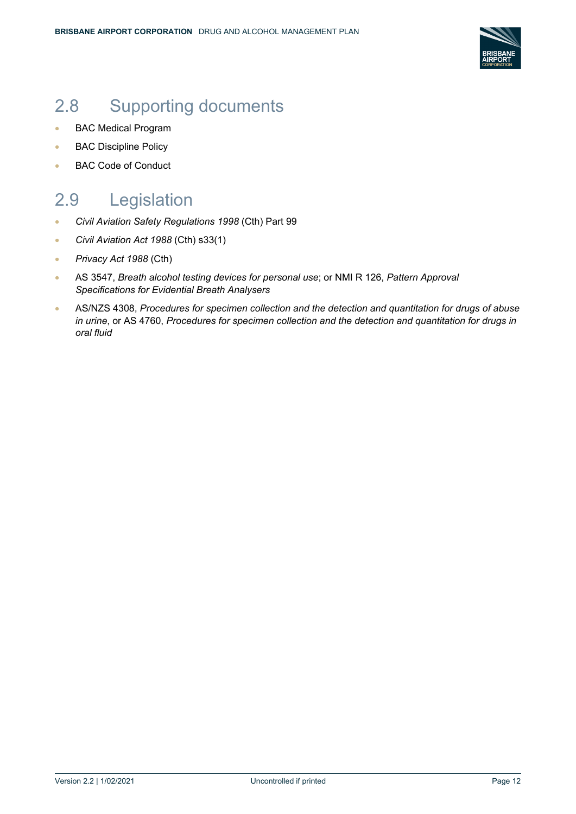

## <span id="page-11-0"></span>2.8 Supporting documents

- BAC Medical Program
- BAC Discipline Policy
- BAC Code of Conduct

## <span id="page-11-1"></span>2.9 Legislation

- *Civil Aviation Safety Regulations 1998* (Cth) Part 99
- *Civil Aviation Act 1988* (Cth) s33(1)
- *Privacy Act 1988* (Cth)
- AS 3547, *Breath alcohol testing devices for personal use*; or NMI R 126, *Pattern Approval Specifications for Evidential Breath Analysers*
- AS/NZS 4308, *Procedures for specimen collection and the detection and quantitation for drugs of abuse in urine*, or AS 4760, *Procedures for specimen collection and the detection and quantitation for drugs in oral fluid*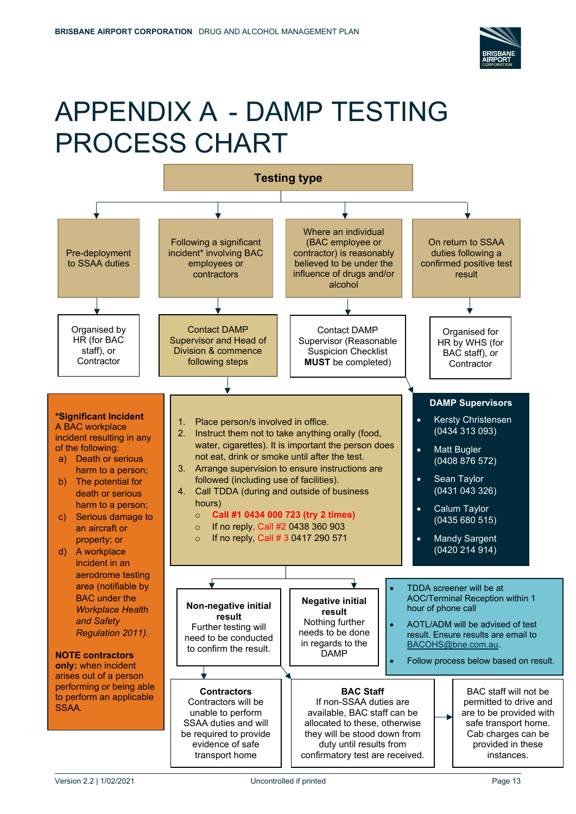

# APPENDIX A - DAMP TESTING PROCESS CHART

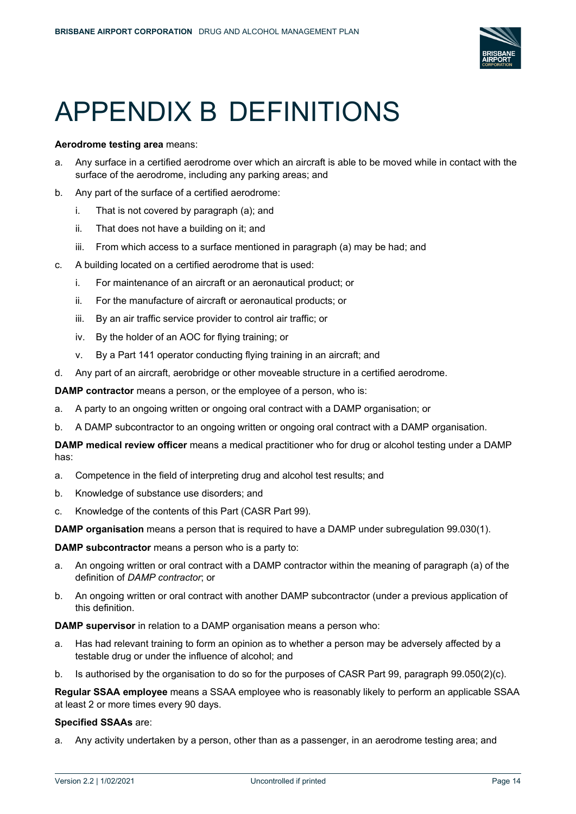

# APPENDIX B DEFINITIONS

#### **Aerodrome testing area** means:

- a. Any surface in a certified aerodrome over which an aircraft is able to be moved while in contact with the surface of the aerodrome, including any parking areas; and
- b. Any part of the surface of a certified aerodrome:
	- i. That is not covered by paragraph (a); and
	- ii. That does not have a building on it; and
	- iii. From which access to a surface mentioned in paragraph (a) may be had; and
- c. A building located on a certified aerodrome that is used:
	- i. For maintenance of an aircraft or an aeronautical product; or
	- ii. For the manufacture of aircraft or aeronautical products; or
	- iii. By an air traffic service provider to control air traffic; or
	- iv. By the holder of an AOC for flying training; or
	- v. By a Part 141 operator conducting flying training in an aircraft; and
- d. Any part of an aircraft, aerobridge or other moveable structure in a certified aerodrome.

**DAMP contractor** means a person, or the employee of a person, who is:

- a. A party to an ongoing written or ongoing oral contract with a DAMP organisation; or
- b. A DAMP subcontractor to an ongoing written or ongoing oral contract with a DAMP organisation.

**DAMP medical review officer** means a medical practitioner who for drug or alcohol testing under a DAMP has:

- a. Competence in the field of interpreting drug and alcohol test results; and
- b. Knowledge of substance use disorders; and
- c. Knowledge of the contents of this Part (CASR Part 99).

**DAMP organisation** means a person that is required to have a DAMP under subregulation 99.030(1).

**DAMP subcontractor** means a person who is a party to:

- a. An ongoing written or oral contract with a DAMP contractor within the meaning of paragraph (a) of the definition of *DAMP contractor*; or
- b. An ongoing written or oral contract with another DAMP subcontractor (under a previous application of this definition.

**DAMP supervisor** in relation to a DAMP organisation means a person who:

- a. Has had relevant training to form an opinion as to whether a person may be adversely affected by a testable drug or under the influence of alcohol; and
- b. Is authorised by the organisation to do so for the purposes of CASR Part 99, paragraph 99.050(2)(c).

**Regular SSAA employee** means a SSAA employee who is reasonably likely to perform an applicable SSAA at least 2 or more times every 90 days.

#### **Specified SSAAs** are:

a. Any activity undertaken by a person, other than as a passenger, in an aerodrome testing area; and